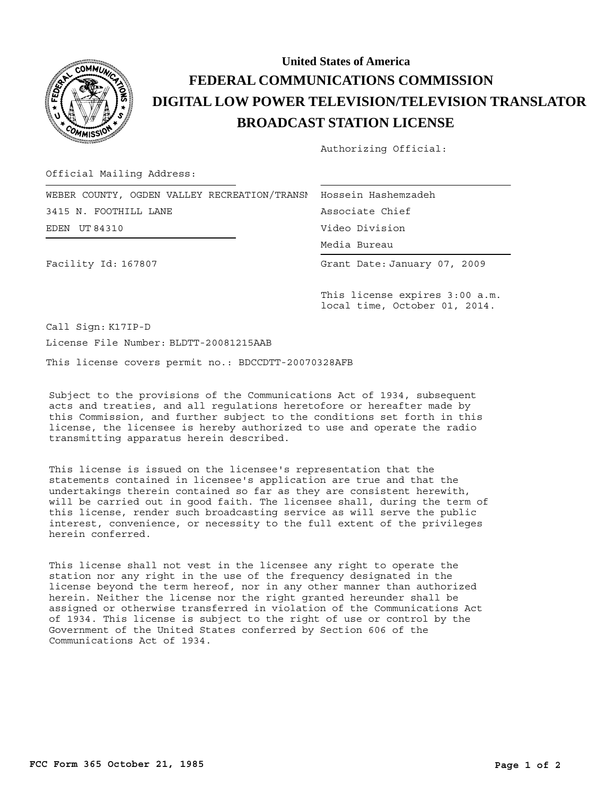

## **BROADCAST STATION LICENSE DIGITAL LOW POWER TELEVISION/TELEVISION TRANSLATOR FEDERAL COMMUNICATIONS COMMISSION United States of America**

Authorizing Official:

Official Mailing Address:

| 3415 N. FOOTHILL LANE |
|-----------------------|
| EDEN UT 84310         |

Hossein Hashemzadeh Media Bureau Media Bureau Associate Chief Video Division

Facility Id: 167807

Grant Date: January 07, 2009

This license expires 3:00 a.m. local time, October 01, 2014.

Call Sign: K17IP-D License File Number: BLDTT-20081215AAB

This license covers permit no.: BDCCDTT-20070328AFB

Subject to the provisions of the Communications Act of 1934, subsequent acts and treaties, and all regulations heretofore or hereafter made by this Commission, and further subject to the conditions set forth in this license, the licensee is hereby authorized to use and operate the radio transmitting apparatus herein described.

This license is issued on the licensee's representation that the statements contained in licensee's application are true and that the undertakings therein contained so far as they are consistent herewith, will be carried out in good faith. The licensee shall, during the term of this license, render such broadcasting service as will serve the public interest, convenience, or necessity to the full extent of the privileges herein conferred.

This license shall not vest in the licensee any right to operate the station nor any right in the use of the frequency designated in the license beyond the term hereof, nor in any other manner than authorized herein. Neither the license nor the right granted hereunder shall be assigned or otherwise transferred in violation of the Communications Act of 1934. This license is subject to the right of use or control by the Government of the United States conferred by Section 606 of the Communications Act of 1934.